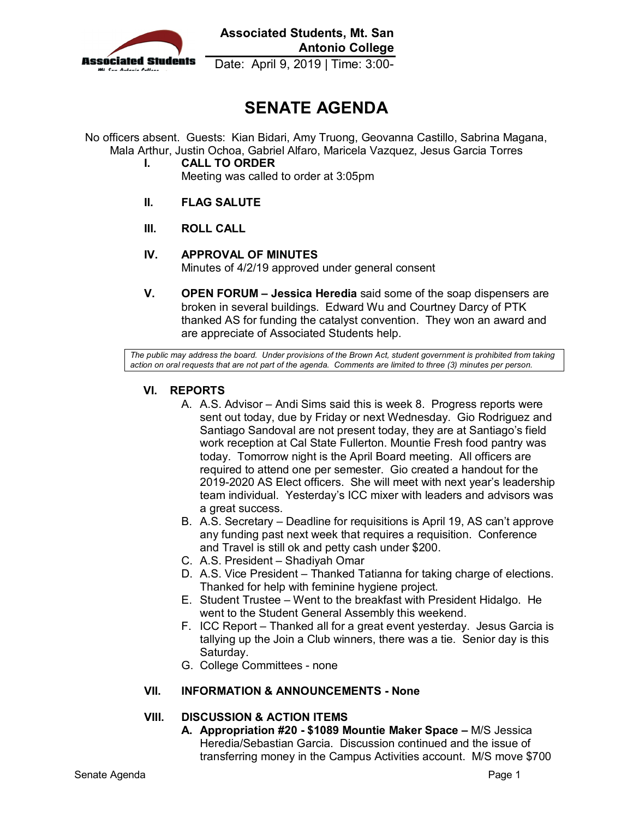

**Associated Students, Mt. San Antonio College** 

Date: April 9, 2019 | Time: 3:00-

# **SENATE AGENDA**

 No officers absent. Guests: Kian Bidari, Amy Truong, Geovanna Castillo, Sabrina Magana, Mala Arthur, Justin Ochoa, Gabriel Alfaro, Maricela Vazquez, Jesus Garcia Torres

- **I. CALL TO ORDER** Meeting was called to order at 3:05pm
- **II. FLAG SALUTE**
- **III. ROLL CALL**
- **IV. APPROVAL OF MINUTES**  Minutes of 4/2/19 approved under general consent
- **V. OPEN FORUM Jessica Heredia** said some of the soap dispensers are broken in several buildings. Edward Wu and Courtney Darcy of PTK thanked AS for funding the catalyst convention. They won an award and are appreciate of Associated Students help.

 *action on oral requests that are not part of the agenda. Comments are limited to three (3) minutes per person. The public may address the board. Under provisions of the Brown Act, student government is prohibited from taking* 

### **VI. REPORTS**

- A. A.S. Advisor Andi Sims said this is week 8. Progress reports were sent out today, due by Friday or next Wednesday. Gio Rodriguez and required to attend one per semester. Gio created a handout for the a great success. Santiago Sandoval are not present today, they are at Santiago's field work reception at Cal State Fullerton. Mountie Fresh food pantry was today. Tomorrow night is the April Board meeting. All officers are 2019-2020 AS Elect officers. She will meet with next year's leadership team individual. Yesterday's ICC mixer with leaders and advisors was
- a great success. B. A.S. Secretary Deadline for requisitions is April 19, AS can't approve any funding past next week that requires a requisition. Conference and Travel is still ok and petty cash under \$200.
- C. A.S. President Shadiyah Omar
- D. A.S. Vice President Thanked Tatianna for taking charge of elections. Thanked for help with feminine hygiene project.
- Thanked for help with feminine hygiene project. E. Student Trustee Went to the breakfast with President Hidalgo. He went to the Student General Assembly this weekend.
- F. ICC Report Thanked all for a great event yesterday. Jesus Garcia is tallying up the Join a Club winners, there was a tie. Senior day is this Saturday.
- Saturday. G. College Committees none

### **VII. INFORMATION & ANNOUNCEMENTS - None**

## **VIII. DISCUSSION & ACTION ITEMS**

 Heredia/Sebastian Garcia. Discussion continued and the issue of transferring money in the Campus Activities account. M/S move \$700 **A. Appropriation #20 - \$1089 Mountie Maker Space –** M/S Jessica